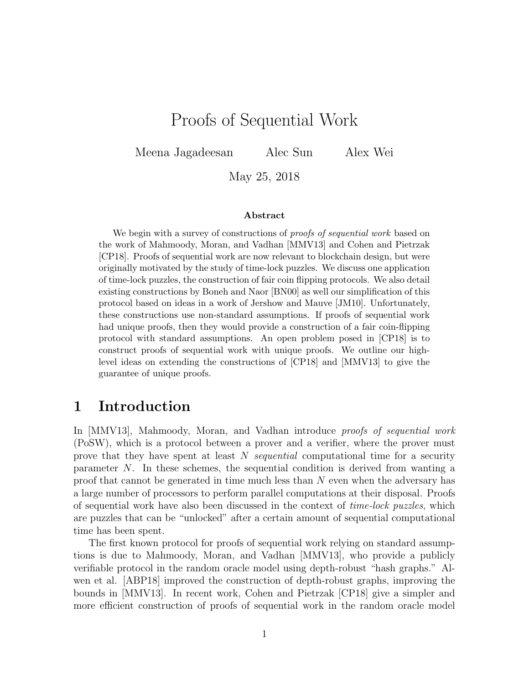# Proofs of Sequential Work

Meena Jagadeesan Alec Sun Alex Wei

May 25, 2018

#### Abstract

We begin with a survey of constructions of *proofs of sequential work* based on the work of Mahmoody, Moran, and Vadhan [MMV13] and Cohen and Pietrzak [CP18]. Proofs of sequential work are now relevant to blockchain design, but were originally motivated by the study of time-lock puzzles. We discuss one application of time-lock puzzles, the construction of fair coin flipping protocols. We also detail existing constructions by Boneh and Naor [BN00] as well our simplification of this protocol based on ideas in a work of Jershow and Mauve [JM10]. Unfortunately, these constructions use non-standard assumptions. If proofs of sequential work had unique proofs, then they would provide a construction of a fair coin-flipping protocol with standard assumptions. An open problem posed in [CP18] is to construct proofs of sequential work with unique proofs. We outline our highlevel ideas on extending the constructions of [CP18] and [MMV13] to give the guarantee of unique proofs.

### 1 Introduction

In MMV13, Mahmoody, Moran, and Vadhan introduce proofs of sequential work (PoSW), which is a protocol between a prover and a verifier, where the prover must prove that they have spent at least N sequential computational time for a security parameter N. In these schemes, the sequential condition is derived from wanting a proof that cannot be generated in time much less than N even when the adversary has a large number of processors to perform parallel computations at their disposal. Proofs of sequential work have also been discussed in the context of time-lock puzzles, which are puzzles that can be "unlocked" after a certain amount of sequential computational time has been spent.

The first known protocol for proofs of sequential work relying on standard assumptions is due to Mahmoody, Moran, and Vadhan [MMV13], who provide a publicly verifiable protocol in the random oracle model using depth-robust "hash graphs." Alwen et al. [ABP18] improved the construction of depth-robust graphs, improving the bounds in [MMV13]. In recent work, Cohen and Pietrzak [CP18] give a simpler and more efficient construction of proofs of sequential work in the random oracle model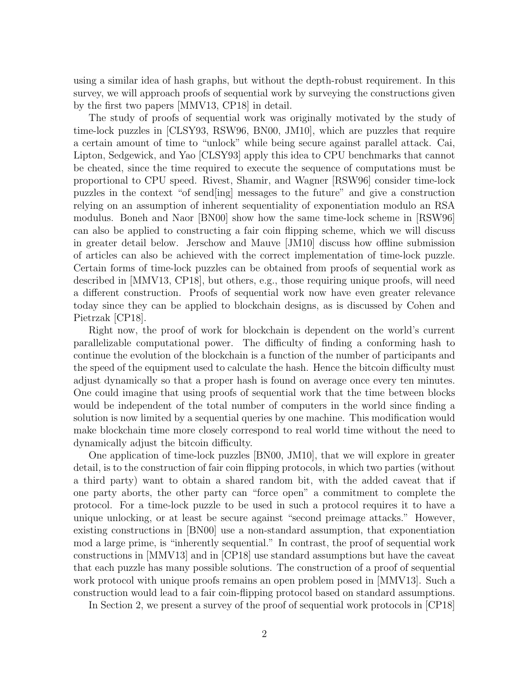using a similar idea of hash graphs, but without the depth-robust requirement. In this survey, we will approach proofs of sequential work by surveying the constructions given by the first two papers [MMV13, CP18] in detail.

The study of proofs of sequential work was originally motivated by the study of time-lock puzzles in [CLSY93, RSW96, BN00, JM10], which are puzzles that require a certain amount of time to "unlock" while being secure against parallel attack. Cai, Lipton, Sedgewick, and Yao [CLSY93] apply this idea to CPU benchmarks that cannot be cheated, since the time required to execute the sequence of computations must be proportional to CPU speed. Rivest, Shamir, and Wagner [RSW96] consider time-lock puzzles in the context "of send[ing] messages to the future" and give a construction relying on an assumption of inherent sequentiality of exponentiation modulo an RSA modulus. Boneh and Naor [BN00] show how the same time-lock scheme in [RSW96] can also be applied to constructing a fair coin flipping scheme, which we will discuss in greater detail below. Jerschow and Mauve [JM10] discuss how offline submission of articles can also be achieved with the correct implementation of time-lock puzzle. Certain forms of time-lock puzzles can be obtained from proofs of sequential work as described in [MMV13, CP18], but others, e.g., those requiring unique proofs, will need a different construction. Proofs of sequential work now have even greater relevance today since they can be applied to blockchain designs, as is discussed by Cohen and Pietrzak [CP18].

Right now, the proof of work for blockchain is dependent on the world's current parallelizable computational power. The difficulty of finding a conforming hash to continue the evolution of the blockchain is a function of the number of participants and the speed of the equipment used to calculate the hash. Hence the bitcoin difficulty must adjust dynamically so that a proper hash is found on average once every ten minutes. One could imagine that using proofs of sequential work that the time between blocks would be independent of the total number of computers in the world since finding a solution is now limited by a sequential queries by one machine. This modification would make blockchain time more closely correspond to real world time without the need to dynamically adjust the bitcoin difficulty.

One application of time-lock puzzles [BN00, JM10], that we will explore in greater detail, is to the construction of fair coin flipping protocols, in which two parties (without a third party) want to obtain a shared random bit, with the added caveat that if one party aborts, the other party can "force open" a commitment to complete the protocol. For a time-lock puzzle to be used in such a protocol requires it to have a unique unlocking, or at least be secure against "second preimage attacks." However, existing constructions in [BN00] use a non-standard assumption, that exponentiation mod a large prime, is "inherently sequential." In contrast, the proof of sequential work constructions in [MMV13] and in [CP18] use standard assumptions but have the caveat that each puzzle has many possible solutions. The construction of a proof of sequential work protocol with unique proofs remains an open problem posed in [MMV13]. Such a construction would lead to a fair coin-flipping protocol based on standard assumptions.

In Section 2, we present a survey of the proof of sequential work protocols in [CP18]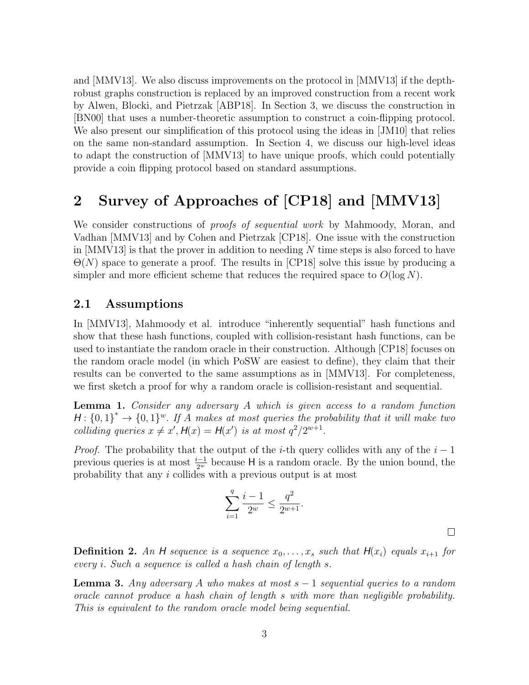and [MMV13]. We also discuss improvements on the protocol in [MMV13] if the depthrobust graphs construction is replaced by an improved construction from a recent work by Alwen, Blocki, and Pietrzak [ABP18]. In Section 3, we discuss the construction in [BN00] that uses a number-theoretic assumption to construct a coin-flipping protocol. We also present our simplification of this protocol using the ideas in [JM10] that relies on the same non-standard assumption. In Section 4, we discuss our high-level ideas to adapt the construction of [MMV13] to have unique proofs, which could potentially provide a coin flipping protocol based on standard assumptions.

## 2 Survey of Approaches of [CP18] and [MMV13]

We consider constructions of *proofs of sequential work* by Mahmoody, Moran, and Vadhan [MMV13] and by Cohen and Pietrzak [CP18]. One issue with the construction in  $[MMVI3]$  is that the prover in addition to needing N time steps is also forced to have  $\Theta(N)$  space to generate a proof. The results in [CP18] solve this issue by producing a simpler and more efficient scheme that reduces the required space to  $O(\log N)$ .

### 2.1 Assumptions

In [MMV13], Mahmoody et al. introduce "inherently sequential" hash functions and show that these hash functions, coupled with collision-resistant hash functions, can be used to instantiate the random oracle in their construction. Although [CP18] focuses on the random oracle model (in which PoSW are easiest to define), they claim that their results can be converted to the same assumptions as in [MMV13]. For completeness, we first sketch a proof for why a random oracle is collision-resistant and sequential.

Lemma 1. Consider any adversary A which is given access to a random function  $H: \{0,1\}^* \to \{0,1\}^w$ . If A makes at most queries the probability that it will make two colliding queries  $x \neq x'$ ,  $H(x) = H(x')$  is at most  $q^2/2^{w+1}$ .

*Proof.* The probability that the output of the *i*-th query collides with any of the  $i - 1$ previous queries is at most  $\frac{i-1}{2^w}$  because H is a random oracle. By the union bound, the probability that any i collides with a previous output is at most

$$
\sum_{i=1}^{q} \frac{i-1}{2^w} \le \frac{q^2}{2^{w+1}}.
$$

 $\Box$ 

**Definition 2.** An H sequence is a sequence  $x_0, \ldots, x_s$  such that  $H(x_i)$  equals  $x_{i+1}$  for every i. Such a sequence is called a hash chain of length s.

**Lemma 3.** Any adversary A who makes at most  $s - 1$  sequential queries to a random oracle cannot produce a hash chain of length s with more than negligible probability. This is equivalent to the random oracle model being sequential.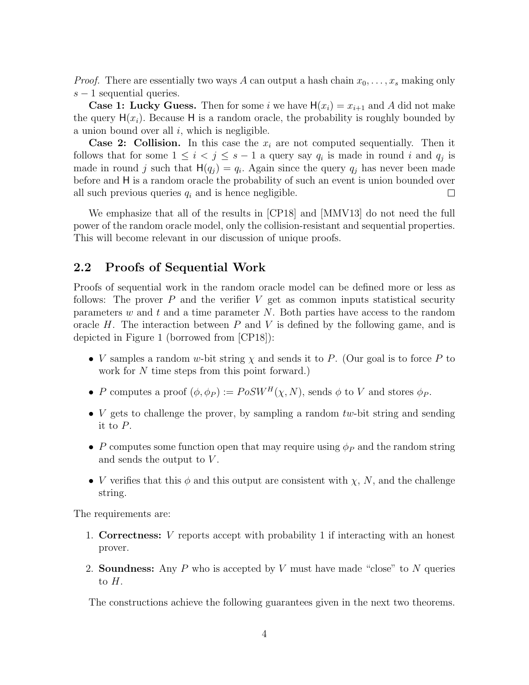*Proof.* There are essentially two ways A can output a hash chain  $x_0, \ldots, x_s$  making only  $s - 1$  sequential queries.

**Case 1: Lucky Guess.** Then for some i we have  $H(x_i) = x_{i+1}$  and A did not make the query  $H(x_i)$ . Because H is a random oracle, the probability is roughly bounded by a union bound over all  $i$ , which is negligible.

**Case 2: Collision.** In this case the  $x_i$  are not computed sequentially. Then it follows that for some  $1 \leq i < j \leq s-1$  a query say  $q_i$  is made in round i and  $q_j$  is made in round j such that  $H(q_j) = q_i$ . Again since the query  $q_j$  has never been made before and H is a random oracle the probability of such an event is union bounded over all such previous queries  $q_i$  and is hence negligible. □

We emphasize that all of the results in [CP18] and [MMV13] do not need the full power of the random oracle model, only the collision-resistant and sequential properties. This will become relevant in our discussion of unique proofs.

### 2.2 Proofs of Sequential Work

Proofs of sequential work in the random oracle model can be defined more or less as follows: The prover  $P$  and the verifier  $V$  get as common inputs statistical security parameters w and t and a time parameter  $N$ . Both parties have access to the random oracle  $H$ . The interaction between  $P$  and  $V$  is defined by the following game, and is depicted in Figure 1 (borrowed from [CP18]):

- V samples a random w-bit string  $\chi$  and sends it to P. (Our goal is to force P to work for N time steps from this point forward.)
- P computes a proof  $(\phi, \phi_P) := PoSW^H(\chi, N)$ , sends  $\phi$  to V and stores  $\phi_P$ .
- V gets to challenge the prover, by sampling a random  $tw$ -bit string and sending it to P.
- P computes some function open that may require using  $\phi_P$  and the random string and sends the output to  $V$ .
- V verifies that this  $\phi$  and this output are consistent with  $\chi$ , N, and the challenge string.

The requirements are:

- 1. Correctness: V reports accept with probability 1 if interacting with an honest prover.
- 2. **Soundness:** Any P who is accepted by V must have made "close" to N queries to  $H$ .

The constructions achieve the following guarantees given in the next two theorems.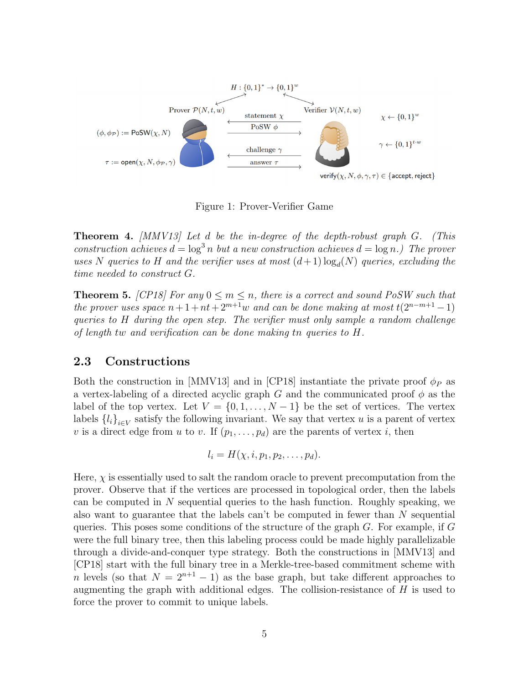

Figure 1: Prover-Verifier Game

**Theorem 4.** [MMV13] Let d be the in-degree of the depth-robust graph  $G$ . (This construction achieves  $d = \log^3 n$  but a new construction achieves  $d = \log n$ .) The prover uses N queries to H and the verifier uses at most  $(d+1)\log_d(N)$  queries, excluding the time needed to construct G.

**Theorem 5.** [CP18] For any  $0 \le m \le n$ , there is a correct and sound PoSW such that the prover uses space  $n+1+nt+2^{m+1}w$  and can be done making at most  $t(2^{n-m+1}-1)$ queries to H during the open step. The verifier must only sample a random challenge of length tw and verification can be done making tn queries to H.

#### 2.3 Constructions

Both the construction in [MMV13] and in [CP18] instantiate the private proof  $\phi_P$  as a vertex-labeling of a directed acyclic graph G and the communicated proof  $\phi$  as the label of the top vertex. Let  $V = \{0, 1, ..., N-1\}$  be the set of vertices. The vertex labels  $\{l_i\}_{i\in V}$  satisfy the following invariant. We say that vertex u is a parent of vertex v is a direct edge from u to v. If  $(p_1, \ldots, p_d)$  are the parents of vertex i, then

$$
l_i = H(\chi, i, p_1, p_2, \ldots, p_d).
$$

Here,  $\chi$  is essentially used to salt the random oracle to prevent precomputation from the prover. Observe that if the vertices are processed in topological order, then the labels can be computed in  $N$  sequential queries to the hash function. Roughly speaking, we also want to guarantee that the labels can't be computed in fewer than N sequential queries. This poses some conditions of the structure of the graph  $G$ . For example, if  $G$ were the full binary tree, then this labeling process could be made highly parallelizable through a divide-and-conquer type strategy. Both the constructions in [MMV13] and [CP18] start with the full binary tree in a Merkle-tree-based commitment scheme with n levels (so that  $N = 2^{n+1} - 1$ ) as the base graph, but take different approaches to augmenting the graph with additional edges. The collision-resistance of  $H$  is used to force the prover to commit to unique labels.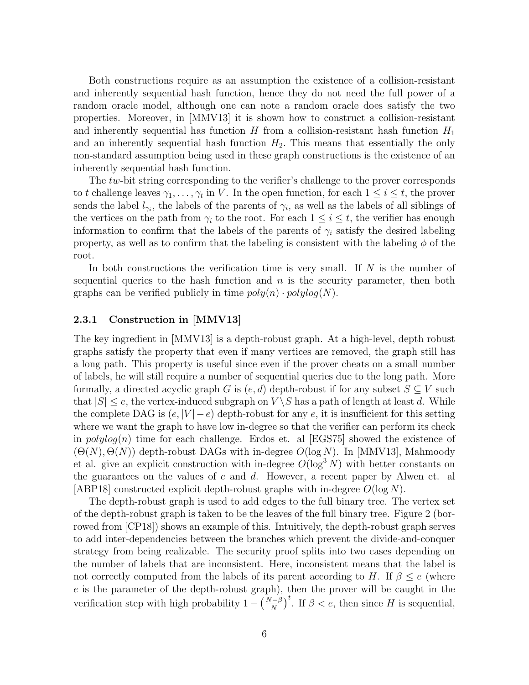Both constructions require as an assumption the existence of a collision-resistant and inherently sequential hash function, hence they do not need the full power of a random oracle model, although one can note a random oracle does satisfy the two properties. Moreover, in [MMV13] it is shown how to construct a collision-resistant and inherently sequential has function  $H$  from a collision-resistant hash function  $H_1$ and an inherently sequential hash function  $H_2$ . This means that essentially the only non-standard assumption being used in these graph constructions is the existence of an inherently sequential hash function.

The tw-bit string corresponding to the verifier's challenge to the prover corresponds to t challenge leaves  $\gamma_1, \ldots, \gamma_t$  in V. In the open function, for each  $1 \leq i \leq t$ , the prover sends the label  $l_{\gamma_i}$ , the labels of the parents of  $\gamma_i$ , as well as the labels of all siblings of the vertices on the path from  $\gamma_i$  to the root. For each  $1 \leq i \leq t$ , the verifier has enough information to confirm that the labels of the parents of  $\gamma_i$  satisfy the desired labeling property, as well as to confirm that the labeling is consistent with the labeling  $\phi$  of the root.

In both constructions the verification time is very small. If  $N$  is the number of sequential queries to the hash function and  $n$  is the security parameter, then both graphs can be verified publicly in time  $poly(n) \cdot polylog(N)$ .

#### 2.3.1 Construction in [MMV13]

The key ingredient in [MMV13] is a depth-robust graph. At a high-level, depth robust graphs satisfy the property that even if many vertices are removed, the graph still has a long path. This property is useful since even if the prover cheats on a small number of labels, he will still require a number of sequential queries due to the long path. More formally, a directed acyclic graph G is  $(e, d)$  depth-robust if for any subset  $S \subseteq V$  such that  $|S| \leq e$ , the vertex-induced subgraph on  $V \setminus S$  has a path of length at least d. While the complete DAG is  $(e, |V| - e)$  depth-robust for any e, it is insufficient for this setting where we want the graph to have low in-degree so that the verifier can perform its check in  $polylog(n)$  time for each challenge. Erdos et. al [EGS75] showed the existence of  $(\Theta(N), \Theta(N))$  depth-robust DAGs with in-degree  $O(\log N)$ . In [MMV13], Mahmoody et al. give an explicit construction with in-degree  $O(\log^3 N)$  with better constants on the guarantees on the values of  $e$  and  $d$ . However, a recent paper by Alwen et. al [ABP18] constructed explicit depth-robust graphs with in-degree  $O(\log N)$ .

The depth-robust graph is used to add edges to the full binary tree. The vertex set of the depth-robust graph is taken to be the leaves of the full binary tree. Figure 2 (borrowed from [CP18]) shows an example of this. Intuitively, the depth-robust graph serves to add inter-dependencies between the branches which prevent the divide-and-conquer strategy from being realizable. The security proof splits into two cases depending on the number of labels that are inconsistent. Here, inconsistent means that the label is not correctly computed from the labels of its parent according to H. If  $\beta \leq e$  (where e is the parameter of the depth-robust graph), then the prover will be caught in the verification step with high probability  $1 - \left(\frac{N-\beta}{N}\right)^t$ . If  $\beta < e$ , then since H is sequential,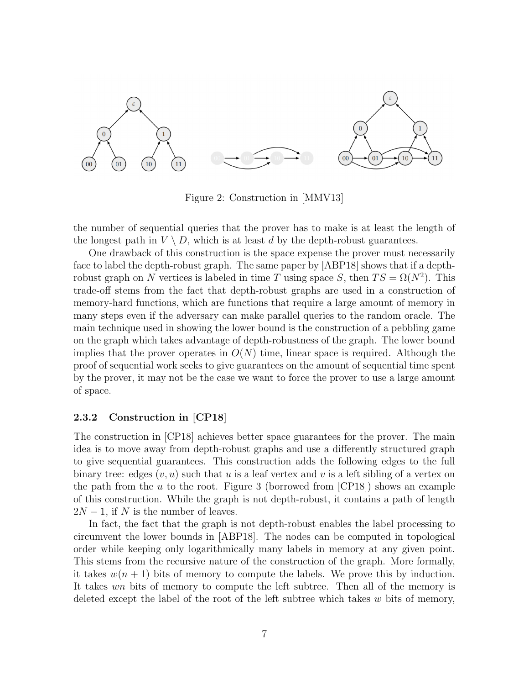

Figure 2: Construction in [MMV13]

the number of sequential queries that the prover has to make is at least the length of the longest path in  $V \setminus D$ , which is at least d by the depth-robust guarantees.

One drawback of this construction is the space expense the prover must necessarily face to label the depth-robust graph. The same paper by [ABP18] shows that if a depthrobust graph on N vertices is labeled in time T using space S, then  $TS = \Omega(N^2)$ . This trade-off stems from the fact that depth-robust graphs are used in a construction of memory-hard functions, which are functions that require a large amount of memory in many steps even if the adversary can make parallel queries to the random oracle. The main technique used in showing the lower bound is the construction of a pebbling game on the graph which takes advantage of depth-robustness of the graph. The lower bound implies that the prover operates in  $O(N)$  time, linear space is required. Although the proof of sequential work seeks to give guarantees on the amount of sequential time spent by the prover, it may not be the case we want to force the prover to use a large amount of space.

#### 2.3.2 Construction in [CP18]

The construction in [CP18] achieves better space guarantees for the prover. The main idea is to move away from depth-robust graphs and use a differently structured graph to give sequential guarantees. This construction adds the following edges to the full binary tree: edges  $(v, u)$  such that u is a leaf vertex and v is a left sibling of a vertex on the path from the  $u$  to the root. Figure 3 (borrowed from  $\text{[CP18]}$ ) shows an example of this construction. While the graph is not depth-robust, it contains a path of length  $2N-1$ , if N is the number of leaves.

In fact, the fact that the graph is not depth-robust enables the label processing to circumvent the lower bounds in [ABP18]. The nodes can be computed in topological order while keeping only logarithmically many labels in memory at any given point. This stems from the recursive nature of the construction of the graph. More formally, it takes  $w(n + 1)$  bits of memory to compute the labels. We prove this by induction. It takes wn bits of memory to compute the left subtree. Then all of the memory is deleted except the label of the root of the left subtree which takes  $w$  bits of memory,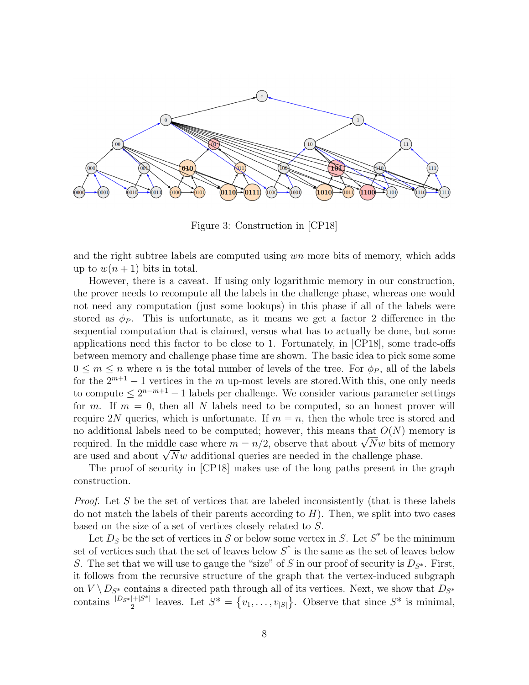

Figure 3: Construction in [CP18]

and the right subtree labels are computed using wn more bits of memory, which adds up to  $w(n+1)$  bits in total.

However, there is a caveat. If using only logarithmic memory in our construction, the prover needs to recompute all the labels in the challenge phase, whereas one would not need any computation (just some lookups) in this phase if all of the labels were stored as  $\phi_P$ . This is unfortunate, as it means we get a factor 2 difference in the sequential computation that is claimed, versus what has to actually be done, but some applications need this factor to be close to 1. Fortunately, in [CP18], some trade-offs between memory and challenge phase time are shown. The basic idea to pick some some  $0 \leq m \leq n$  where *n* is the total number of levels of the tree. For  $\phi_P$ , all of the labels for the  $2^{m+1} - 1$  vertices in the m up-most levels are stored. With this, one only needs to compute  $\leq 2^{n-m+1}-1$  labels per challenge. We consider various parameter settings for m. If  $m = 0$ , then all N labels need to be computed, so an honest prover will require 2N queries, which is unfortunate. If  $m = n$ , then the whole tree is stored and no additional labels need to be computed; however, this means that  $O(N)$  memory is no additional labels need to be computed; nowever, this means that  $U(N)$  memory is<br>required. In the middle case where  $m = n/2$ , observe that about  $\sqrt{N}w$  bits of memory required. In the middle case where  $m = n/2$ , observe that about  $\sqrt{N}w$  bits of r<br>are used and about  $\sqrt{N}w$  additional queries are needed in the challenge phase.

The proof of security in [CP18] makes use of the long paths present in the graph construction.

*Proof.* Let S be the set of vertices that are labeled inconsistently (that is these labels do not match the labels of their parents according to  $H$ ). Then, we split into two cases based on the size of a set of vertices closely related to S.

Let  $D<sub>S</sub>$  be the set of vertices in S or below some vertex in S. Let  $S^*$  be the minimum set of vertices such that the set of leaves below  $S^*$  is the same as the set of leaves below S. The set that we will use to gauge the "size" of S in our proof of security is  $D_{S^*}$ . First, it follows from the recursive structure of the graph that the vertex-induced subgraph on  $V \backslash D_{S^*}$  contains a directed path through all of its vertices. Next, we show that  $D_{S^*}$ contains  $\frac{|D_{S^*}|+|S^*|}{2}$  leaves. Let  $S^* = \{v_1, \ldots, v_{|S|}\}\.$  Observe that since  $S^*$  is minimal,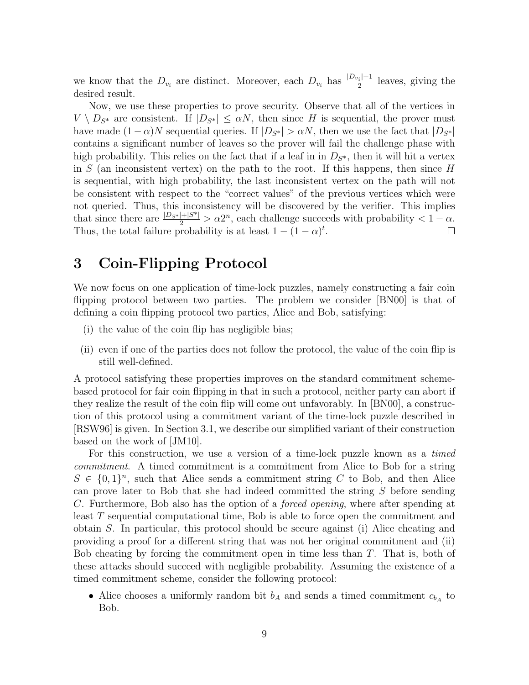we know that the  $D_{v_i}$  are distinct. Moreover, each  $D_{v_i}$  has  $\frac{|D_{v_i}|+1}{2}$  $\frac{2^{i+1}}{2}$  leaves, giving the desired result.

Now, we use these properties to prove security. Observe that all of the vertices in  $V \setminus D_{S^*}$  are consistent. If  $|D_{S^*}| \leq \alpha N$ , then since H is sequential, the prover must have made  $(1 - \alpha)N$  sequential queries. If  $|D_{S^*}| > \alpha N$ , then we use the fact that  $|D_{S^*}|$ contains a significant number of leaves so the prover will fail the challenge phase with high probability. This relies on the fact that if a leaf in in  $D_{S^*}$ , then it will hit a vertex in S (an inconsistent vertex) on the path to the root. If this happens, then since  $H$ is sequential, with high probability, the last inconsistent vertex on the path will not be consistent with respect to the "correct values" of the previous vertices which were not queried. Thus, this inconsistency will be discovered by the verifier. This implies that since there are  $\frac{|D_{S^*}|+|S^*|}{2} > \alpha 2^n$ , each challenge succeeds with probability  $\lt 1 - \alpha$ . Thus, the total failure probability is at least  $1 - (1 - \alpha)^t$ .

## 3 Coin-Flipping Protocol

We now focus on one application of time-lock puzzles, namely constructing a fair coin flipping protocol between two parties. The problem we consider [BN00] is that of defining a coin flipping protocol two parties, Alice and Bob, satisfying:

- (i) the value of the coin flip has negligible bias;
- (ii) even if one of the parties does not follow the protocol, the value of the coin flip is still well-defined.

A protocol satisfying these properties improves on the standard commitment schemebased protocol for fair coin flipping in that in such a protocol, neither party can abort if they realize the result of the coin flip will come out unfavorably. In [BN00], a construction of this protocol using a commitment variant of the time-lock puzzle described in [RSW96] is given. In Section 3.1, we describe our simplified variant of their construction based on the work of [JM10].

For this construction, we use a version of a time-lock puzzle known as a timed commitment. A timed commitment is a commitment from Alice to Bob for a string  $S \in \{0,1\}^n$ , such that Alice sends a commitment string C to Bob, and then Alice can prove later to Bob that she had indeed committed the string S before sending C. Furthermore, Bob also has the option of a forced opening, where after spending at least T sequential computational time, Bob is able to force open the commitment and obtain S. In particular, this protocol should be secure against (i) Alice cheating and providing a proof for a different string that was not her original commitment and (ii) Bob cheating by forcing the commitment open in time less than  $T$ . That is, both of these attacks should succeed with negligible probability. Assuming the existence of a timed commitment scheme, consider the following protocol:

• Alice chooses a uniformly random bit  $b_A$  and sends a timed commitment  $c_{b_A}$  to Bob.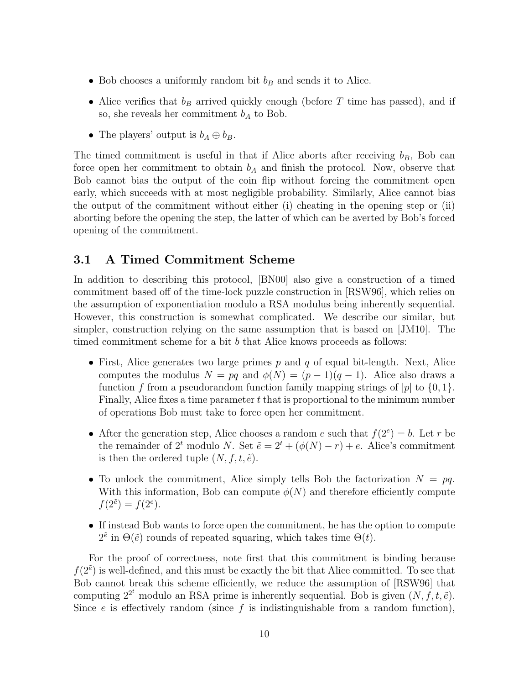- Bob chooses a uniformly random bit  $b_B$  and sends it to Alice.
- Alice verifies that  $b_B$  arrived quickly enough (before T time has passed), and if so, she reveals her commitment  $b<sub>A</sub>$  to Bob.
- The players' output is  $b_A \oplus b_B$ .

The timed commitment is useful in that if Alice aborts after receiving  $b_B$ , Bob can force open her commitment to obtain  $b<sub>A</sub>$  and finish the protocol. Now, observe that Bob cannot bias the output of the coin flip without forcing the commitment open early, which succeeds with at most negligible probability. Similarly, Alice cannot bias the output of the commitment without either (i) cheating in the opening step or (ii) aborting before the opening the step, the latter of which can be averted by Bob's forced opening of the commitment.

### 3.1 A Timed Commitment Scheme

In addition to describing this protocol, [BN00] also give a construction of a timed commitment based off of the time-lock puzzle construction in [RSW96], which relies on the assumption of exponentiation modulo a RSA modulus being inherently sequential. However, this construction is somewhat complicated. We describe our similar, but simpler, construction relying on the same assumption that is based on [JM10]. The timed commitment scheme for a bit  $b$  that Alice knows proceeds as follows:

- First, Alice generates two large primes  $p$  and  $q$  of equal bit-length. Next, Alice computes the modulus  $N = pq$  and  $\phi(N) = (p-1)(q-1)$ . Alice also draws a function f from a pseudorandom function family mapping strings of |p| to  $\{0, 1\}$ . Finally, Alice fixes a time parameter  $t$  that is proportional to the minimum number of operations Bob must take to force open her commitment.
- After the generation step, Alice chooses a random e such that  $f(2^e) = b$ . Let r be the remainder of  $2^t$  modulo N. Set  $\tilde{e} = 2^t + (\phi(N) - r) + e$ . Alice's commitment is then the ordered tuple  $(N, f, t, \tilde{e})$ .
- To unlock the commitment, Alice simply tells Bob the factorization  $N = pq$ . With this information, Bob can compute  $\phi(N)$  and therefore efficiently compute  $f(2^{\tilde{e}}) = f(2^e).$
- If instead Bob wants to force open the commitment, he has the option to compute  $2^{\tilde{e}}$  in  $\Theta(\tilde{e})$  rounds of repeated squaring, which takes time  $\Theta(t)$ .

For the proof of correctness, note first that this commitment is binding because  $f(2^{\tilde{e}})$  is well-defined, and this must be exactly the bit that Alice committed. To see that Bob cannot break this scheme efficiently, we reduce the assumption of [RSW96] that computing  $2^{2^t}$  modulo an RSA prime is inherently sequential. Bob is given  $(N, f, t, \tilde{e})$ . Since  $e$  is effectively random (since  $f$  is indistinguishable from a random function),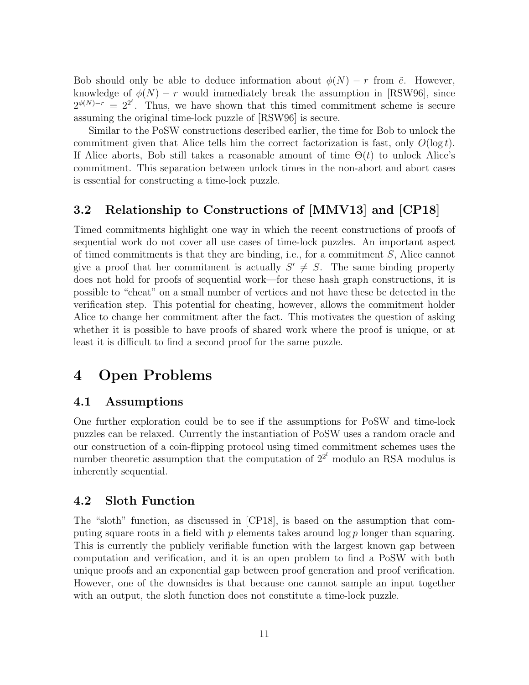Bob should only be able to deduce information about  $\phi(N) - r$  from  $\tilde{e}$ . However, knowledge of  $\phi(N) - r$  would immediately break the assumption in [RSW96], since  $2^{\phi(N)-r} = 2^{2^t}$ . Thus, we have shown that this timed commitment scheme is secure assuming the original time-lock puzzle of [RSW96] is secure.

Similar to the PoSW constructions described earlier, the time for Bob to unlock the commitment given that Alice tells him the correct factorization is fast, only  $O(\log t)$ . If Alice aborts, Bob still takes a reasonable amount of time  $\Theta(t)$  to unlock Alice's commitment. This separation between unlock times in the non-abort and abort cases is essential for constructing a time-lock puzzle.

### 3.2 Relationship to Constructions of [MMV13] and [CP18]

Timed commitments highlight one way in which the recent constructions of proofs of sequential work do not cover all use cases of time-lock puzzles. An important aspect of timed commitments is that they are binding, i.e., for a commitment  $S$ , Alice cannot give a proof that her commitment is actually  $S' \neq S$ . The same binding property does not hold for proofs of sequential work—for these hash graph constructions, it is possible to "cheat" on a small number of vertices and not have these be detected in the verification step. This potential for cheating, however, allows the commitment holder Alice to change her commitment after the fact. This motivates the question of asking whether it is possible to have proofs of shared work where the proof is unique, or at least it is difficult to find a second proof for the same puzzle.

### 4 Open Problems

#### 4.1 Assumptions

One further exploration could be to see if the assumptions for PoSW and time-lock puzzles can be relaxed. Currently the instantiation of PoSW uses a random oracle and our construction of a coin-flipping protocol using timed commitment schemes uses the number theoretic assumption that the computation of  $2^{2^l}$  modulo an RSA modulus is inherently sequential.

### 4.2 Sloth Function

The "sloth" function, as discussed in [CP18], is based on the assumption that computing square roots in a field with  $p$  elements takes around  $\log p$  longer than squaring. This is currently the publicly verifiable function with the largest known gap between computation and verification, and it is an open problem to find a PoSW with both unique proofs and an exponential gap between proof generation and proof verification. However, one of the downsides is that because one cannot sample an input together with an output, the sloth function does not constitute a time-lock puzzle.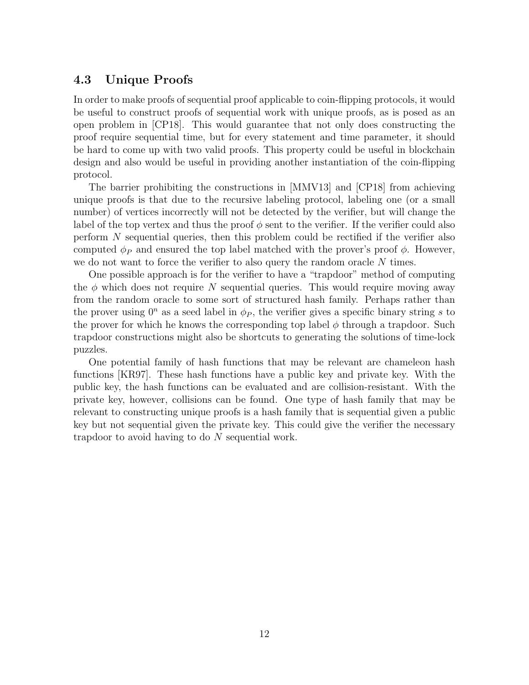### 4.3 Unique Proofs

In order to make proofs of sequential proof applicable to coin-flipping protocols, it would be useful to construct proofs of sequential work with unique proofs, as is posed as an open problem in [CP18]. This would guarantee that not only does constructing the proof require sequential time, but for every statement and time parameter, it should be hard to come up with two valid proofs. This property could be useful in blockchain design and also would be useful in providing another instantiation of the coin-flipping protocol.

The barrier prohibiting the constructions in [MMV13] and [CP18] from achieving unique proofs is that due to the recursive labeling protocol, labeling one (or a small number) of vertices incorrectly will not be detected by the verifier, but will change the label of the top vertex and thus the proof  $\phi$  sent to the verifier. If the verifier could also perform N sequential queries, then this problem could be rectified if the verifier also computed  $\phi_P$  and ensured the top label matched with the prover's proof  $\phi$ . However, we do not want to force the verifier to also query the random oracle N times.

One possible approach is for the verifier to have a "trapdoor" method of computing the  $\phi$  which does not require N sequential queries. This would require moving away from the random oracle to some sort of structured hash family. Perhaps rather than the prover using  $0^n$  as a seed label in  $\phi_P$ , the verifier gives a specific binary string s to the prover for which he knows the corresponding top label  $\phi$  through a trapdoor. Such trapdoor constructions might also be shortcuts to generating the solutions of time-lock puzzles.

One potential family of hash functions that may be relevant are chameleon hash functions [KR97]. These hash functions have a public key and private key. With the public key, the hash functions can be evaluated and are collision-resistant. With the private key, however, collisions can be found. One type of hash family that may be relevant to constructing unique proofs is a hash family that is sequential given a public key but not sequential given the private key. This could give the verifier the necessary trapdoor to avoid having to do N sequential work.